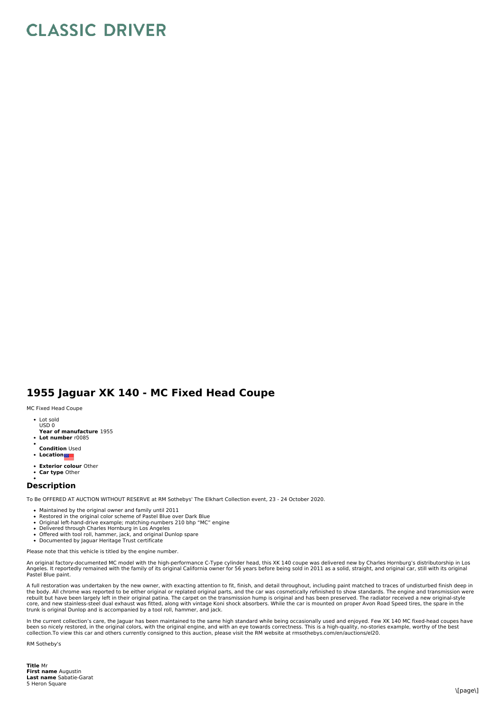## **CLASSIC DRIVER**

## **1955 Jaguar XK 140 - MC Fixed Head Coupe**

MC Fixed Head Coupe

- Lot sold USD 0
- **Year of manufacture** 1955
- **Lot number** r0085
- **Condition** Used
- **Location**
- **Exterior colour** Other
- $\bullet$ **Car type** Other

## **Description**

To Be OFFERED AT AUCTION WITHOUT RESERVE at RM Sothebys' The Elkhart Collection event, 23 - 24 October 2020.

- Maintained by the original owner and family until 2011
- 
- Restored in the original color scheme of Pastel Blue over Dark Blue<br>Original left-hand-drive example; matching-numbers 210 bhp "MC" engine
- Delivered through Charles Hornburg in Los Angeles
- Offered with tool roll, hammer, jack, and original Dunlop spare<br>Documented by Jaguar Heritage Trust certificate
- 

Please note that this vehicle is titled by the engine number.

An original factory-documented MC model with the high-performance C-Type cylinder head, this XK 140 coupe was delivered new by Charles Hornburg's distributorship in Los<br>Angeles. It reportedly remained with the family of it Pastel Blue paint.

A full restoration was undertaken by the new owner, with exacting attention to fit, finish, and detail throughout, including paint matched to traces of undisturbed finish deep in the body. All chrome was reported to be either original or replated original parts, and the car was cosmetically refinished to show standards. The engine and transmission were<br>rebuilt but have been largely left in their or core, and new stainless-steel dual exhaust was fitted, along with vintage Koni shock absorbers. While the car is mounted on proper Avon Road Speed tires, the spare in the<br>trunk is original Dunlop and is accompanied by a to

In the current collection's care, the Jaguar has been maintained to the same high standard while being occasionally used and enjoyed. Few XK 140 MC fixed-head coupes have been so nicely restored, in the original colors, with the original engine, and with an eye towards correctness. This is a high-quality, no-stories example, worthy of the best<br>collection.To view this car and others currentl

RM Sotheby's

**Title** Mr **First name** Augustin **Last name** Sabatie-Garat 5 Heron Square